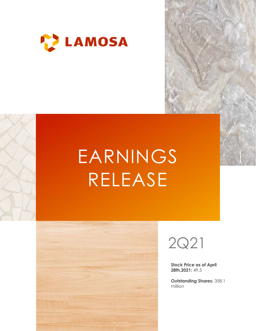

# EARNINGS RELEASE





Stock Price as of April 28th,2021: 49.5

Outstanding Shares: 358.1 million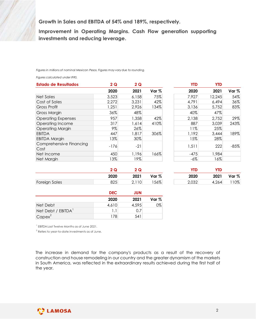| Growth in Sales and EBITDA of 54% and 189%, respectively.<br>Improvement in Operating Margins. Cash Flow generation supporting<br>investments and reducing leverage. |               |              |                  |              |            |        |
|----------------------------------------------------------------------------------------------------------------------------------------------------------------------|---------------|--------------|------------------|--------------|------------|--------|
|                                                                                                                                                                      |               |              |                  |              |            |        |
|                                                                                                                                                                      |               |              |                  |              |            |        |
|                                                                                                                                                                      |               |              |                  |              |            |        |
|                                                                                                                                                                      |               |              |                  |              |            |        |
|                                                                                                                                                                      |               |              |                  |              |            |        |
| Figures in millions of nominal Mexican Pesos. Figures may vary due to rounding.                                                                                      |               |              |                  |              |            |        |
|                                                                                                                                                                      |               |              |                  |              |            |        |
| Figures calculated under IFRS.                                                                                                                                       |               |              |                  |              |            |        |
| <b>Estado de Resultados</b>                                                                                                                                          | 2Q            | 2Q           |                  | <b>YTD</b>   | <b>YTD</b> |        |
|                                                                                                                                                                      | 2020          | 2021         | Var <sub>%</sub> | 2020         | 2021       | Var %  |
| <b>Net Sales</b>                                                                                                                                                     | 3,523         | 6,158        | 75%              | 7,927        | 12,245     | 54%    |
| Cost of Sales                                                                                                                                                        | 2,272         | 3,231        | 42%              | 4,791        | 6,494      | 36%    |
| <b>Gross Profit</b>                                                                                                                                                  | 1,251         | 2,926        | 134%             | 3,136        | 5,752      | 83%    |
|                                                                                                                                                                      |               | 48%          |                  | 40%          | 47%        |        |
| <b>Gross Margin</b>                                                                                                                                                  | 36%           |              |                  |              | 2,752      | 29%    |
|                                                                                                                                                                      | 957           | 1,358        | 42%              |              |            |        |
| <b>Operating Expenses</b>                                                                                                                                            | 317           |              | 410%             | 2,138<br>887 |            | 243%   |
|                                                                                                                                                                      |               | 1,614        |                  | 11%          | 3,039      |        |
| Operating Income<br><b>Operating Margin</b>                                                                                                                          | 9%            | 26%          |                  |              | 25%        |        |
|                                                                                                                                                                      | 447           | 1,817        | 306%             | 1,192        | 3,444      | 189%   |
| <b>EBITDA</b><br><b>EBITDA Margin</b><br>Comprehensive Financing                                                                                                     | 13%<br>$-176$ | 30%<br>$-21$ |                  | 15%<br>1,511 | 28%<br>222 | $-85%$ |
|                                                                                                                                                                      |               |              |                  |              |            |        |
|                                                                                                                                                                      | 450           | 1,196        | 166%             | $-475$       | 1,984      |        |
| Cost<br>Net Income<br>Net Margin                                                                                                                                     | 13%           | 19%          |                  | $-6\%$       | 16%        |        |

| verage.       |                                 |       |                                          |            |        |
|---------------|---------------------------------|-------|------------------------------------------|------------|--------|
|               |                                 |       | Margins. Cash Flow generation supporting |            |        |
| 2Q            | may vary due to rounding.<br>2Q |       | <b>YTD</b>                               | <b>YTD</b> |        |
| 2020          | 2021                            | Var % | 2020                                     | 2021       | Var %  |
| 3,523         | 6,158                           | 75%   | 7,927                                    | 12,245     | 54%    |
| 2,272         | 3,231                           | 42%   | 4,791                                    | 6,494      | 36%    |
| ,251          | 2,926                           | 134%  | 3,136                                    | 5,752      | 83%    |
| 36%           | 48%                             |       | 40%                                      | 47%        |        |
| 957           | 1,358                           | 42%   | 2,138                                    | 2,752      | 29%    |
| 317           | 1,614                           | 410%  | 887                                      | 3,039      | 243%   |
| $9\%$         | 26%                             |       | 11%                                      | 25%        |        |
| 447           | 1,817                           | 306%  | 1,192                                    | 3,444      | 189%   |
| 13%           | 30%                             |       | 15%                                      | 28%        |        |
|               |                                 |       |                                          |            |        |
| $-176$        | $-21$                           |       | 1,511                                    | 222        | $-85%$ |
| 450           | 1,196                           | 166%  | $-475$                                   | 1,984      |        |
| 13%           | 19%                             |       | $-6\%$                                   | 16%        |        |
|               |                                 |       |                                          |            |        |
| 2Q            | 2Q                              |       | <b>YTD</b>                               | <b>YTD</b> |        |
| 2020          | 2021                            | Var % | 2020                                     | 2021       | Var %  |
| 825           | 2,110                           | 156%  | 2,032                                    | 4,264      | 110%   |
|               |                                 |       |                                          |            |        |
| <b>DEC</b>    | <b>JUN</b>                      |       |                                          |            |        |
| 2020          | 2021                            | Var % |                                          |            |        |
|               | 4,595                           | $0\%$ |                                          |            |        |
|               |                                 |       |                                          |            |        |
| 4,610<br> 1.1 | 0.7                             |       |                                          |            |        |

|               |      |       |       | YTC   | <b>YTL</b> |        |
|---------------|------|-------|-------|-------|------------|--------|
|               | 2020 | 2021  | Var % | 2020  | 2021       | Var %  |
| Foreign Sales | 825  | 2,110 | 56%   | 2,032 | 4,264      | $10\%$ |

| YTD   | YTD   |         |
|-------|-------|---------|
| 2020  | 2021  | Var $%$ |
| 2,032 | 4,264 | 110%    |

|                    | <b>DEC</b> | JUN   |       |
|--------------------|------------|-------|-------|
|                    | 2020       | 2021  | Var % |
| Net Debt           | 4,610      | 4,595 | 0%    |
| Net Debt / EBITDA' | I . I      | 0.7   |       |
| $Capex^2$          | 78         | 541   |       |

1 EBITDA Last Twelve Months as of June 2021.

2 Refers to year-to-date investments as of June.

The increase in demand for the company's products as a result of the recovery of construction and house remodeling in our country and the greater dynamism of the markets in South America, was reflected in the extraordinary results achieved during the first half of the year.

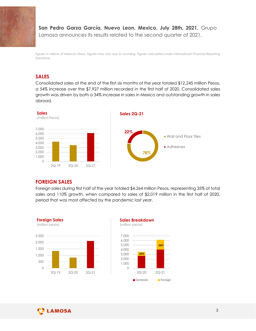

# San Pedro Garza García, Nuevo Leon, Mexico, July 28th, 2021. Grupo Lamosa announces its results related to the second quarter of 2021.

Figures in millions of Mexican Pesos. Figures may vary due to rounding. Figures calculated under International Financial Reporting Standards.

# SALES

Consolidated sales at the end of the first six months of the year totaled \$12,245 million Pesos, a 54% increase over the \$7,927 million recorded in the first half of 2020. Consolidated sales growth was driven by both a 34% increase in sales in Mexico and outstanding growth in sales abroad.



# FOREIGN SALES

Foreign sales during first half of the year totaled \$4,264 million Pesos, representing 35% of total sales and 110% growth, when compared to sales of \$2,019 million in the first half of 2020, period that was most affected by the pandemic last year.





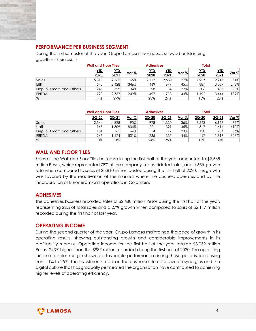

# PERFORMANCE PER BUSINESS SEGMENT

| <b>PERFORMANCE PER BUSINESS SEGMENT</b>                                             |                             |                |             |                  |               |            |               |                 |             |
|-------------------------------------------------------------------------------------|-----------------------------|----------------|-------------|------------------|---------------|------------|---------------|-----------------|-------------|
|                                                                                     |                             |                |             |                  |               |            |               |                 |             |
| During the first semester of the year, Grupo Lamosa's businesses showed outstanding |                             |                |             |                  |               |            |               |                 |             |
| growth in their results.                                                            |                             |                |             |                  |               |            |               |                 |             |
|                                                                                     | <b>Wall and Floor Tiles</b> |                |             | <b>Adhesives</b> |               |            | <b>Total</b>  |                 |             |
|                                                                                     |                             |                |             |                  |               |            |               | <b>YTD</b>      |             |
|                                                                                     | <b>YTD</b>                  | <u>YTD</u>     | Var %       | YID              | <b>YTD</b>    | Var %      | <b>YTD</b>    |                 | Var %       |
| Sales                                                                               | 2020<br>5,810               | 2021           | 65%         | 2020<br>2,117    | 2021<br>2,680 | 27%        | 2020<br>7,927 | 2021            | 54%         |
| EBIT                                                                                | 545                         | 9,565<br>2,428 | 346%        | 469              | 679           | 45%        | 887           | 12,245<br>3,039 | 243%        |
| Dep. & Amort. and Others                                                            | 245                         | 329            | 34%         | 28               | 34            | 22%        | 306           | 405             | 33%         |
|                                                                                     | 790                         | 2,757          | 249%        | 497              | 713           | 43%        | 1,192         | 3,444           | 189%        |
| <b>EBITDA</b><br>$\%$                                                               | 14%                         | 29%            |             | 23%              | 27%           |            | 15%           | 28%             |             |
|                                                                                     |                             |                |             |                  |               |            |               |                 |             |
|                                                                                     | <b>Wall and Floor Tiles</b> |                |             | <b>Adhesives</b> |               |            | <b>Total</b>  |                 |             |
|                                                                                     | $2Q - 20$                   | $2Q-21$        | Var %       | $2Q - 20$        | $2Q-21$       | Var %      | $2Q - 20$     | $2Q-21$         | Var %       |
| Sales                                                                               | 2,544                       | 4,828          | 90%         | 978              | 1,330         | 36%        | 3,523         | 6,158           | 75%         |
| Uafir                                                                               | 145                         | 1,309          | 804%        | 221              | 321           | 45%        | 317           | 1,614           | 410%        |
| Dep. & Amort. and Others                                                            | 101<br>245                  | 165<br>1,474   | 64%<br>501% | 4 <br>235        | 17<br>337     | 23%<br>44% | 130           | 204<br>1,817    | 56%<br>306% |

|                          | <b>Wall and Floor Tiles</b> |               |          | <b>Adhesives</b> |              |               | <b>Total</b>  |              |               |
|--------------------------|-----------------------------|---------------|----------|------------------|--------------|---------------|---------------|--------------|---------------|
|                          | 2Q-20                       | <u> 2Q-21</u> | Var $\%$ | 2Q-20            | <u>2Q-21</u> | <u>Var %.</u> | <u> 2Q-20</u> | <u>2Q-21</u> | <u>Var %i</u> |
| Sales                    | 2,544                       | 4,828         | $90\%$   | 978              | ,330         | 36%           | 3,523         | 6,158        | 75%           |
| Uafir                    | 45                          | .309          | 804%     | 221              | 321          | 45%           | 317           | ,614         | 410%          |
| Dep. & Amort. and Others | 101                         | 65            | 64%      |                  |              | 23%           | 130           | 204          | 56%           |
| <b>EBITDA</b>            | 245                         | ,474          | 501%     | 235              | 337          | 44%           | 447           | ,817         | 306%          |
| %                        | 10%                         | 31%           |          | 24%              | 25%          |               | 13%           | 30%          |               |

# WALL AND FLOOR TILES

Sales of the Wall and Floor Tiles business during the first half of the year amounted to \$9,565 million Pesos, which represented 78% of the company's consolidated sales, and a 65% growth rate when compared to sales of \$5,810 million posted during the first half of 2020. This growth was favored by the reactivation of the markets where the business operates and by the incorporation of Eurocerámica's operations in Colombia.

# ADHESIVES

The adhesives business recorded sales of \$2,680 million Pesos during the first half of the year, representing 22% of total sales and a 27% growth when compared to sales of \$2,117 million recorded during the first half of last year.

#### OPERATING INCOME

During the second quarter of the year, Grupo Lamosa maintained the pace of growth in its operating results, showing outstanding growth and considerable improvements in its profitability margins. Operating income for the first half of the year totaled \$3,039 million Pesos, 243% higher than the \$887 million recorded during the first half of 2020. The operating income to sales margin showed a favorable performance during these periods, increasing from 11% to 25%. The investments made in the businesses to capitalize on synergies and the digital culture that has gradually permeated the organization have contributed to achieving higher levels of operating efficiency.

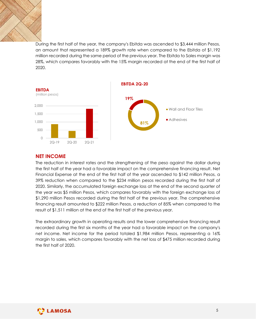

During the first half of the year, the company's Ebitda was ascended to \$3,444 million Pesos, an amount that represented a 189% growth rate when compared to the Ebitda of \$1,192 million recorded during the same period of the previous year. The Ebitda to Sales margin was 28%, which compares favorably with the 15% margin recorded at the end of the first half of 2020.



# NET INCOME

The reduction in interest rates and the strengthening of the peso against the dollar during the first half of the year had a favorable impact on the comprehensive financing result. Net Financial Expense at the end of the first half of the year ascended to \$142 million Pesos, a 39% reduction when compared to the \$234 million pesos recorded during the first half of 2020. Similarly, the accumulated foreign exchange loss at the end of the second quarter of the year was \$5 million Pesos, which compares favorably with the foreign exchange loss of \$1,290 million Pesos recorded during the first half of the previous year. The comprehensive financing result amounted to \$222 million Pesos, a reduction of 85% when compared to the result of \$1,511 million at the end of the first half of the previous year.

The extraordinary growth in operating results and the lower comprehensive financing result recorded during the first six months of the year had a favorable impact on the company's net income. Net income for the period totaled \$1,984 million Pesos, representing a 16% margin to sales, which compares favorably with the net loss of \$475 million recorded during the first half of 2020.

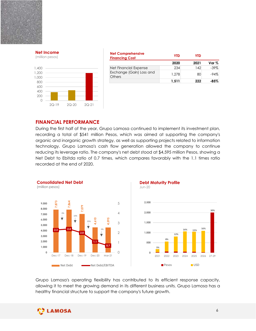



| ome   |                       |                          |            |            |          |
|-------|-----------------------|--------------------------|------------|------------|----------|
|       | <b>Financing Cost</b> | <b>Net Comprehensive</b> | <b>YTD</b> | <b>YTD</b> |          |
| esos) |                       |                          | 2020       | 2021       | Var $\%$ |
|       |                       |                          | 234        | 142        | $-39%$   |
|       |                       | Net Financial Expense    |            |            |          |
|       |                       | Exchange (Gain) Loss and | 1,278      | 80         | $-94%$   |
|       | Others                |                          | 1,511      | 222        | $-85%$   |
|       |                       |                          |            |            |          |
|       |                       |                          |            |            |          |
|       |                       |                          |            |            |          |

#### FINANCIAL PERFORMANCE

During the first half of the year, Grupo Lamosa continued to implement its investment plan, recording a total of \$541 million Pesos, which was aimed at supporting the company's organic and inorganic growth strategy, as well as supporting projects related to information technology. Grupo Lamosa's cash flow generation allowed the company to continue reducing its leverage ratio. The company's net debt stood at \$4,595 million Pesos, showing a Net Debt to Ebitda ratio of 0.7 times, which compares favorably with the 1.1 times ratio recorded at the end of 2020.  $\frac{200}{200}$ <br>  $\frac{200}{200}$ <br>  $\frac{200}{200}$ <br>  $\frac{200}{200}$ <br>  $\frac{200}{200}$ <br>  $\frac{200}{200}$ <br>  $\frac{200}{200}$ <br>  $\frac{200}{200}$ <br>  $\frac{200}{200}$ <br>  $\frac{200}{200}$ <br>  $\frac{200}{200}$ <br>  $\frac{200}{200}$ <br>  $\frac{200}{200}$ <br>  $\frac{200}{200}$ <br>
EINANCIAL P (million pesos) the Maturity Profile<br>
1,511 222 - 85%<br>
1,511 222 - 85%<br>
1,511 222 - 85%<br>
1,511 222 - 85%<br>
1,511 222 - 85%<br>
1,511 222 - 85%<br>
2,600<br>
2,500 -<br>
2,500 -<br>
2,500 -<br>
2,500 -<br>
2,500 -<br>
2,500 -





Grupo Lamosa's operating flexibility has contributed to its efficient response capacity, allowing it to meet the growing demand in its different business units. Grupo Lamosa has a healthy financial structure to support the company's future growth.